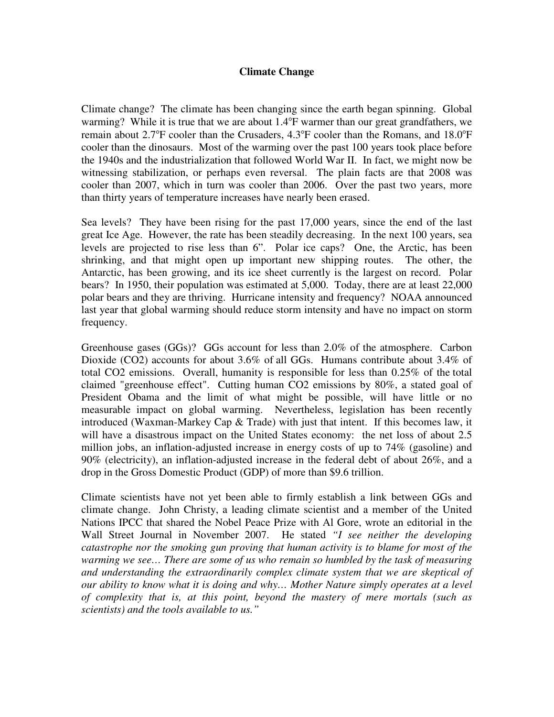## **Climate Change**

Climate change? The climate has been changing since the earth began spinning. Global warming? While it is true that we are about 1.4°F warmer than our great grandfathers, we remain about  $2.7^{\circ}$ F cooler than the Crusaders,  $4.3^{\circ}$ F cooler than the Romans, and  $18.0^{\circ}$ F cooler than the dinosaurs. Most of the warming over the past 100 years took place before the 1940s and the industrialization that followed World War II. In fact, we might now be witnessing stabilization, or perhaps even reversal. The plain facts are that 2008 was cooler than 2007, which in turn was cooler than 2006. Over the past two years, more than thirty years of temperature increases have nearly been erased.

Sea levels? They have been rising for the past 17,000 years, since the end of the last great Ice Age. However, the rate has been steadily decreasing. In the next 100 years, sea levels are projected to rise less than 6". Polar ice caps? One, the Arctic, has been shrinking, and that might open up important new shipping routes. The other, the Antarctic, has been growing, and its ice sheet currently is the largest on record. Polar bears? In 1950, their population was estimated at 5,000. Today, there are at least 22,000 polar bears and they are thriving. Hurricane intensity and frequency? NOAA announced last year that global warming should reduce storm intensity and have no impact on storm frequency.

Greenhouse gases (GGs)? GGs account for less than 2.0% of the atmosphere. Carbon Dioxide (CO2) accounts for about 3.6% of all GGs. Humans contribute about 3.4% of total CO2 emissions. Overall, humanity is responsible for less than 0.25% of the total claimed "greenhouse effect". Cutting human CO2 emissions by 80%, a stated goal of President Obama and the limit of what might be possible, will have little or no measurable impact on global warming. Nevertheless, legislation has been recently introduced (Waxman-Markey Cap & Trade) with just that intent. If this becomes law, it will have a disastrous impact on the United States economy: the net loss of about 2.5 million jobs, an inflation-adjusted increase in energy costs of up to 74% (gasoline) and 90% (electricity), an inflation-adjusted increase in the federal debt of about 26%, and a drop in the Gross Domestic Product (GDP) of more than \$9.6 trillion.

Climate scientists have not yet been able to firmly establish a link between GGs and climate change. John Christy, a leading climate scientist and a member of the United Nations IPCC that shared the Nobel Peace Prize with Al Gore, wrote an editorial in the Wall Street Journal in November 2007. He stated *"I see neither the developing catastrophe nor the smoking gun proving that human activity is to blame for most of the warming we see… There are some of us who remain so humbled by the task of measuring and understanding the extraordinarily complex climate system that we are skeptical of our ability to know what it is doing and why… Mother Nature simply operates at a level of complexity that is, at this point, beyond the mastery of mere mortals (such as scientists) and the tools available to us."*